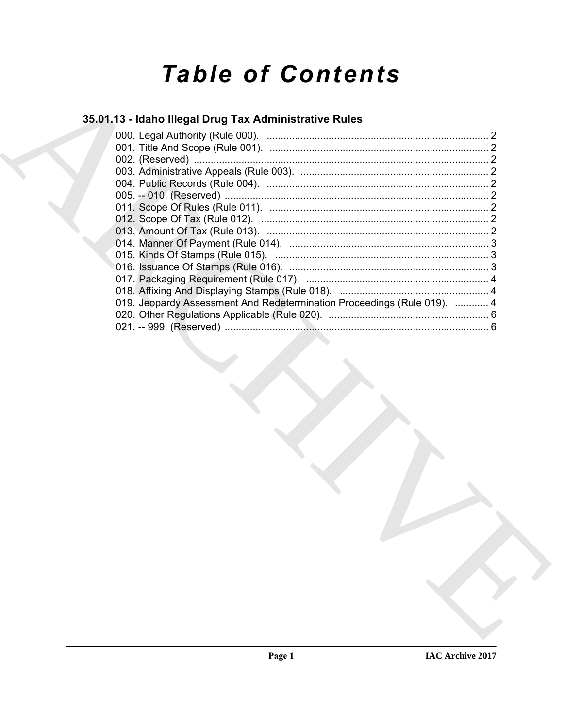# **Table of Contents**

# 35.01.13 - Idaho Illegal Drug Tax Administrative Rules

| 019. Jeopardy Assessment And Redetermination Proceedings (Rule 019).  4 |  |
|-------------------------------------------------------------------------|--|
|                                                                         |  |
|                                                                         |  |
|                                                                         |  |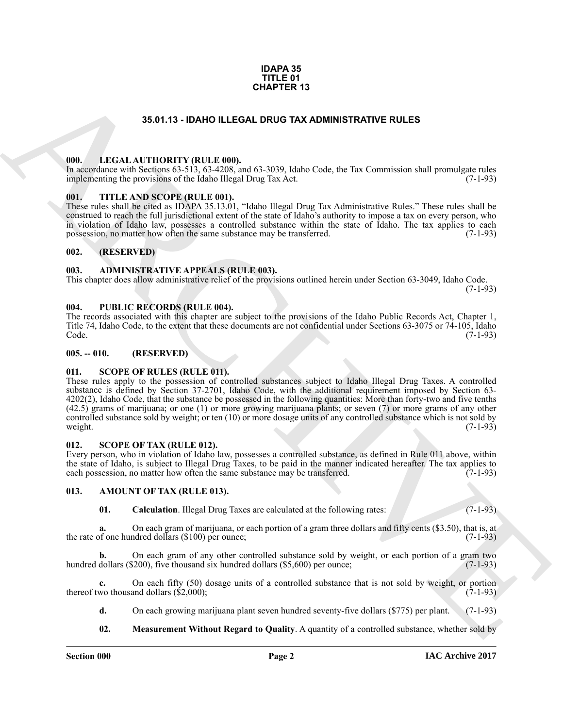#### **IDAPA 35 TITLE 01 CHAPTER 13**

#### **35.01.13 - IDAHO ILLEGAL DRUG TAX ADMINISTRATIVE RULES**

#### <span id="page-1-1"></span><span id="page-1-0"></span>**000. LEGAL AUTHORITY (RULE 000).**

In accordance with Sections 63-513, 63-4208, and 63-3039, Idaho Code, the Tax Commission shall promulgate rules implementing the provisions of the Idaho Illegal Drug Tax Act. (7-1-93)

#### <span id="page-1-2"></span>**001. TITLE AND SCOPE (RULE 001).**

These rules shall be cited as IDAPA 35.13.01, "Idaho Illegal Drug Tax Administrative Rules." These rules shall be construed to reach the full jurisdictional extent of the state of Idaho's authority to impose a tax on every person, who in violation of Idaho law, possesses a controlled substance within the state of Idaho. The tax applies to each possession, no matter how often the same substance may be transferred. (7-1-93)

#### <span id="page-1-3"></span>**002. (RESERVED)**

#### <span id="page-1-4"></span>**003. ADMINISTRATIVE APPEALS (RULE 003).**

This chapter does allow administrative relief of the provisions outlined herein under Section 63-3049, Idaho Code. (7-1-93)

<span id="page-1-5"></span>**004. PUBLIC RECORDS (RULE 004).**

The records associated with this chapter are subject to the provisions of the Idaho Public Records Act, Chapter 1, Title 74, Idaho Code, to the extent that these documents are not confidential under Sections 63-3075 or 74-105, Idaho Code. (7-1-93) Code. (7-1-93)

#### <span id="page-1-6"></span>**005. -- 010. (RESERVED)**

#### <span id="page-1-7"></span>**011. SCOPE OF RULES (RULE 011).**

**35.67.13 - IDAN OLLEGAL DURIGRA DRUG TAX ADMINISTRATIVE RULES<br>
1990. LEGAL ALTITORITY (RULE 600).**<br>
1990. LEGAL ALTITORITY (RULE 600).<br>
1991. TITLE AND SCOPE (RULE 800).<br>
1991. TITLE AND SCOPE (RULE 800).<br>
1991. TITLE AN These rules apply to the possession of controlled substances subject to Idaho Illegal Drug Taxes. A controlled substance is defined by Section 37-2701, Idaho Code, with the additional requirement imposed by Section 63- 4202(2), Idaho Code, that the substance be possessed in the following quantities: More than forty-two and five tenths (42.5) grams of marijuana; or one (1) or more growing marijuana plants; or seven (7) or more grams of any other controlled substance sold by weight; or ten (10) or more dosage units of any controlled substance which is not sold by weight.  $(7-1-93)$ 

#### <span id="page-1-13"></span><span id="page-1-8"></span>**012. SCOPE OF TAX (RULE 012).**

Every person, who in violation of Idaho law, possesses a controlled substance, as defined in Rule 011 above, within the state of Idaho, is subject to Illegal Drug Taxes, to be paid in the manner indicated hereafter. The tax applies to each possession, no matter how often the same substance may be transferred. (7-1-93) each possession, no matter how often the same substance may be transferred.

#### <span id="page-1-9"></span>**013. AMOUNT OF TAX (RULE 013).**

<span id="page-1-11"></span><span id="page-1-10"></span>**01. Calculation**. Illegal Drug Taxes are calculated at the following rates: (7-1-93)

**a.** On each gram of marijuana, or each portion of a gram three dollars and fifty cents (\$3.50), that is, at of one hundred dollars (\$100) per ounce: the rate of one hundred dollars  $(\$100)$  per ounce;

On each gram of any other controlled substance sold by weight, or each portion of a gram two (200), five thousand six hundred dollars (\$5,600) per ounce; hundred dollars (\$200), five thousand six hundred dollars (\$5,600) per ounce;

**c.** On each fifty (50) dosage units of a controlled substance that is not sold by weight, or portion wo thousand dollars (\$2,000); (7-1-93) thereof two thousand dollars  $(\$2,000)$ ;

**d.** On each growing marijuana plant seven hundred seventy-five dollars (\$775) per plant. (7-1-93)

<span id="page-1-12"></span>**02. Measurement Without Regard to Quality**. A quantity of a controlled substance, whether sold by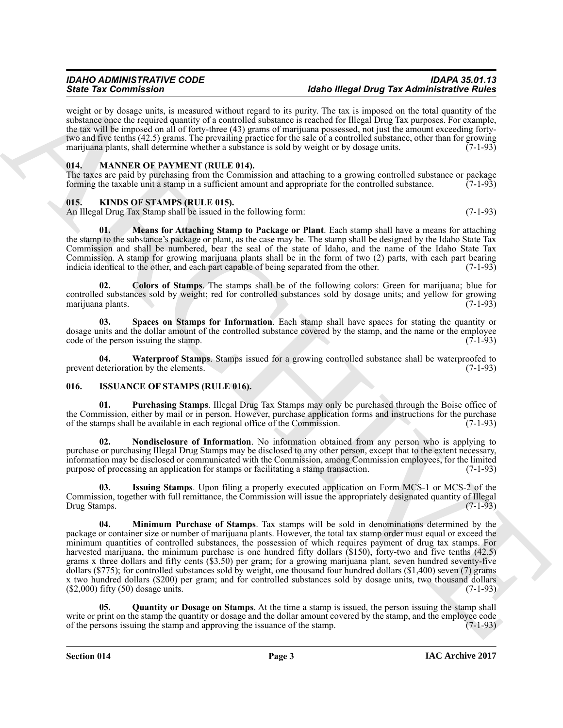weight or by dosage units, is measured without regard to its purity. The tax is imposed on the total quantity of the substance once the required quantity of a controlled substance is reached for Illegal Drug Tax purposes. For example, the tax will be imposed on all of forty-three (43) grams of marijuana possessed, not just the amount exceeding fortytwo and five tenths (42.5) grams. The prevailing practice for the sale of a controlled substance, other than for growing marijuana plants, shall determine whether a substance is sold by weight or by dosage units.  $(7-1-93)$ 

#### <span id="page-2-14"></span><span id="page-2-0"></span>**014. MANNER OF PAYMENT (RULE 014).**

The taxes are paid by purchasing from the Commission and attaching to a growing controlled substance or package forming the taxable unit a stamp in a sufficient amount and appropriate for the controlled substance. (7-1-93) forming the taxable unit a stamp in a sufficient amount and appropriate for the controlled substance.

#### <span id="page-2-9"></span><span id="page-2-1"></span>**015. KINDS OF STAMPS (RULE 015).**

An Illegal Drug Tax Stamp shall be issued in the following form: (7-1-93)

<span id="page-2-11"></span>**01. Means for Attaching Stamp to Package or Plant**. Each stamp shall have a means for attaching the stamp to the substance's package or plant, as the case may be. The stamp shall be designed by the Idaho State Tax Commission and shall be numbered, bear the seal of the state of Idaho, and the name of the Idaho State Tax Commission. A stamp for growing marijuana plants shall be in the form of two (2) parts, with each part bearing indicia identical to the other, and each part capable of being separated from the other. (7-1-93) indicia identical to the other, and each part capable of being separated from the other.

<span id="page-2-10"></span>**02. Colors of Stamps**. The stamps shall be of the following colors: Green for marijuana; blue for controlled substances sold by weight; red for controlled substances sold by dosage units; and yellow for growing marijuana plants. (7-1-93) marijuana plants.

<span id="page-2-12"></span>**03. Spaces on Stamps for Information**. Each stamp shall have spaces for stating the quantity or dosage units and the dollar amount of the controlled substance covered by the stamp, and the name or the employee code of the person issuing the stamp. code of the person issuing the stamp.

<span id="page-2-13"></span>**04.** Waterproof Stamps. Stamps issued for a growing controlled substance shall be waterproofed to leterioration by the elements. (7-1-93) prevent deterioration by the elements.

#### <span id="page-2-3"></span><span id="page-2-2"></span>**016. ISSUANCE OF STAMPS (RULE 016).**

<span id="page-2-7"></span>**01. Purchasing Stamps**. Illegal Drug Tax Stamps may only be purchased through the Boise office of the Commission, either by mail or in person. However, purchase application forms and instructions for the purchase of the stamps shall be available in each regional office of the Commission. (7-1-93) of the stamps shall be available in each regional office of the Commission.

<span id="page-2-6"></span>**Nondisclosure of Information**. No information obtained from any person who is applying to purchase or purchasing Illegal Drug Stamps may be disclosed to any other person, except that to the extent necessary, information may be disclosed or communicated with the Commission, among Commission employees, for the limited purpose of processing an application for stamps or facilitating a stamp transaction.

<span id="page-2-5"></span><span id="page-2-4"></span>**03. Issuing Stamps**. Upon filing a properly executed application on Form MCS-1 or MCS-2 of the Commission, together with full remittance, the Commission will issue the appropriately designated quantity of Illegal Drug Stamps.

Since Tax Commutes into manuscript the transformation of the Biggs Drag Tax Administration contains the property of the state of the state of the state of the state of the state of the state of the state of the state of t **04. Minimum Purchase of Stamps**. Tax stamps will be sold in denominations determined by the package or container size or number of marijuana plants. However, the total tax stamp order must equal or exceed the minimum quantities of controlled substances, the possession of which requires payment of drug tax stamps. For harvested marijuana, the minimum purchase is one hundred fifty dollars (\$150), forty-two and five tenths (42.5) grams x three dollars and fifty cents (\$3.50) per gram; for a growing marijuana plant, seven hundred seventy-five dollars (\$775); for controlled substances sold by weight, one thousand four hundred dollars (\$1,400) seven (7) grams x two hundred dollars (\$200) per gram; and for controlled substances sold by dosage units, two thousand dollars (\$2,000) fifty (50) dosage units. (7-1-93)  $($ \$2,000) fifty  $(50)$  dosage units.

<span id="page-2-8"></span>**05. Quantity or Dosage on Stamps**. At the time a stamp is issued, the person issuing the stamp shall write or print on the stamp the quantity or dosage and the dollar amount covered by the stamp, and the employee code of the persons issuing the stamp and approving the issuance of the stamp. (7-1-93) of the persons issuing the stamp and approving the issuance of the stamp.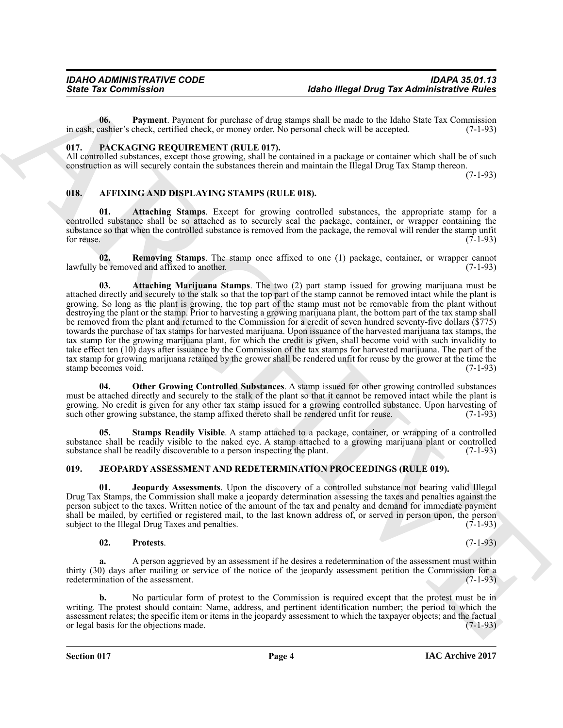<span id="page-3-9"></span>**06. Payment**. Payment for purchase of drug stamps shall be made to the Idaho State Tax Commission in cash, cashier's check, certified check, or money order. No personal check will be accepted. (7-1-93)

#### <span id="page-3-13"></span><span id="page-3-0"></span>**017. PACKAGING REQUIREMENT (RULE 017).**

All controlled substances, except those growing, shall be contained in a package or container which shall be of such construction as will securely contain the substances therein and maintain the Illegal Drug Tax Stamp thereon.

(7-1-93)

#### <span id="page-3-3"></span><span id="page-3-1"></span>**018. AFFIXING AND DISPLAYING STAMPS (RULE 018).**

<span id="page-3-5"></span>**01. Attaching Stamps**. Except for growing controlled substances, the appropriate stamp for a controlled substance shall be so attached as to securely seal the package, container, or wrapper containing the substance so that when the controlled substance is removed from the package, the removal will render the stamp unfit for reuse.  $(7-1-93)$ 

<span id="page-3-7"></span><span id="page-3-4"></span>**02.** Removing Stamps. The stamp once affixed to one (1) package, container, or wrapper cannot be removed and affixed to another. (7-1-93) lawfully be removed and affixed to another.

Since Tax Commission<br>
16tho fliegula Drug Tax Administrative Bullet and the particle of the state of the state of the state of the state of the state of the state of the state of the state of the state of the state of the **03. Attaching Marijuana Stamps**. The two (2) part stamp issued for growing marijuana must be attached directly and securely to the stalk so that the top part of the stamp cannot be removed intact while the plant is growing. So long as the plant is growing, the top part of the stamp must not be removable from the plant without destroying the plant or the stamp. Prior to harvesting a growing marijuana plant, the bottom part of the tax stamp shall be removed from the plant and returned to the Commission for a credit of seven hundred seventy-five dollars (\$775) towards the purchase of tax stamps for harvested marijuana. Upon issuance of the harvested marijuana tax stamps, the tax stamp for the growing marijuana plant, for which the credit is given, shall become void with such invalidity to take effect ten (10) days after issuance by the Commission of the tax stamps for harvested marijuana. The part of the tax stamp for growing marijuana retained by the grower shall be rendered unfit for reuse by the grower at the time the stamp becomes void.

<span id="page-3-6"></span>**04. Other Growing Controlled Substances**. A stamp issued for other growing controlled substances must be attached directly and securely to the stalk of the plant so that it cannot be removed intact while the plant is growing. No credit is given for any other tax stamp issued for a growing controlled substance. Upon harvesting of such other growing substance, the stamp affixed thereto shall be rendered unfit for reuse. (7-1-93)

<span id="page-3-8"></span>**05. Stamps Readily Visible**. A stamp attached to a package, container, or wrapping of a controlled substance shall be readily visible to the naked eye. A stamp attached to a growing marijuana plant or controlled substance shall be readily discoverable to a person inspecting the plant. (7-1-93) substance shall be readily discoverable to a person inspecting the plant.

#### <span id="page-3-10"></span><span id="page-3-2"></span>**019. JEOPARDY ASSESSMENT AND REDETERMINATION PROCEEDINGS (RULE 019).**

<span id="page-3-11"></span>**01. Jeopardy Assessments**. Upon the discovery of a controlled substance not bearing valid Illegal Drug Tax Stamps, the Commission shall make a jeopardy determination assessing the taxes and penalties against the person subject to the taxes. Written notice of the amount of the tax and penalty and demand for immediate payment shall be mailed, by certified or registered mail, to the last known address of, or served in person upon, the person subject to the Illegal Drug Taxes and penalties. (7-1-93) subject to the Illegal Drug Taxes and penalties.

#### <span id="page-3-12"></span>**02. Protests**. (7-1-93)

**a.** A person aggrieved by an assessment if he desires a redetermination of the assessment must within thirty (30) days after mailing or service of the notice of the jeopardy assessment petition the Commission for a redetermination of the assessment. (7-1-93)

**b.** No particular form of protest to the Commission is required except that the protest must be in writing. The protest should contain: Name, address, and pertinent identification number; the period to which the assessment relates; the specific item or items in the jeopardy assessment to which the taxpayer objects; and the factual or legal basis for the objections made.  $(7-1-93)$ or legal basis for the objections made.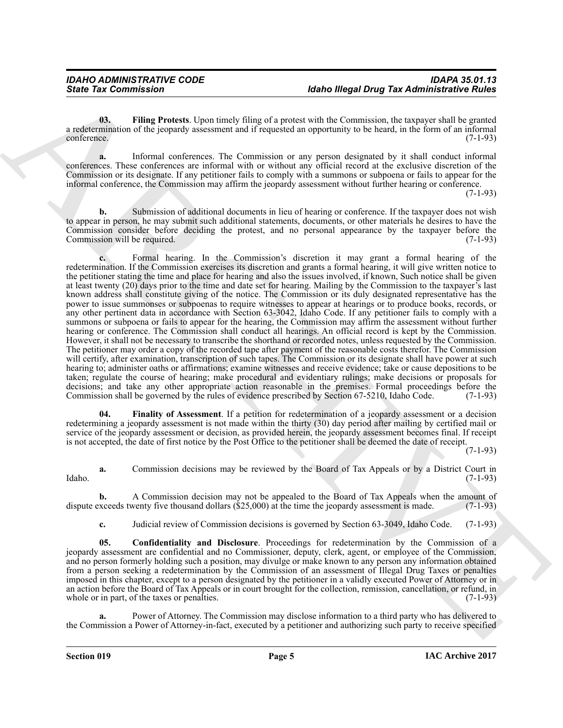<span id="page-4-0"></span>**03. Filing Protests**. Upon timely filing of a protest with the Commission, the taxpayer shall be granted a redetermination of the jeopardy assessment and if requested an opportunity to be heard, in the form of an informal conference. (7-1-93) conference. (7-1-93)

**a.** Informal conferences. The Commission or any person designated by it shall conduct informal conferences. These conferences are informal with or without any official record at the exclusive discretion of the Commission or its designate. If any petitioner fails to comply with a summons or subpoena or fails to appear for the informal conference, the Commission may affirm the jeopardy assessment without further hearing or conference.

 $(7-1-93)$ 

**b.** Submission of additional documents in lieu of hearing or conference. If the taxpayer does not wish to appear in person, he may submit such additional statements, documents, or other materials he desires to have the Commission consider before deciding the protest, and no personal appearance by the taxpayer before the Commission will be required. (7-1-93)

Since Tax Commission<br>
36the Tax Commission<br>
16the Blogs for a particular commission in the Commission of the Commission Commission Commission Commission Commission Commission Commission Commission Commission Commission Co **c.** Formal hearing. In the Commission's discretion it may grant a formal hearing of the redetermination. If the Commission exercises its discretion and grants a formal hearing, it will give written notice to the petitioner stating the time and place for hearing and also the issues involved, if known, Such notice shall be given at least twenty (20) days prior to the time and date set for hearing. Mailing by the Commission to the taxpayer's last known address shall constitute giving of the notice. The Commission or its duly designated representative has the power to issue summonses or subpoenas to require witnesses to appear at hearings or to produce books, records, or any other pertinent data in accordance with Section 63-3042, Idaho Code. If any petitioner fails to comply with a summons or subpoena or fails to appear for the hearing, the Commission may affirm the assessment without further hearing or conference. The Commission shall conduct all hearings. An official record is kept by the Commission. However, it shall not be necessary to transcribe the shorthand or recorded notes, unless requested by the Commission. The petitioner may order a copy of the recorded tape after payment of the reasonable costs therefor. The Commission will certify, after examination, transcription of such tapes. The Commission or its designate shall have power at such hearing to; administer oaths or affirmations; examine witnesses and receive evidence; take or cause depositions to be taken; regulate the course of hearing; make procedural and evidentiary rulings; make decisions or proposals for decisions; and take any other appropriate action reasonable in the premises. Formal proceedings before the Commission shall be governed by the rules of evidence prescribed by Section 67-5210, Idaho Code. (7-1-93) Commission shall be governed by the rules of evidence prescribed by Section 67-5210, Idaho Code.

<span id="page-4-2"></span>**04. Finality of Assessment**. If a petition for redetermination of a jeopardy assessment or a decision redetermining a jeopardy assessment is not made within the thirty (30) day period after mailing by certified mail or service of the jeopardy assessment or decision, as provided herein, the jeopardy assessment becomes final. If receipt is not accepted, the date of first notice by the Post Office to the petitioner shall be deemed the date of receipt.

(7-1-93)

**a.** Commission decisions may be reviewed by the Board of Tax Appeals or by a District Court in (7-1-93) Idaho. (7-1-93)

**b.** A Commission decision may not be appealed to the Board of Tax Appeals when the amount of exceeds twenty five thousand dollars (\$25,000) at the time the jeopardy assessment is made. (7-1-93) dispute exceeds twenty five thousand dollars  $(\$25,000)$  at the time the jeopardy assessment is made.

<span id="page-4-1"></span>**c.** Judicial review of Commission decisions is governed by Section 63-3049, Idaho Code. (7-1-93)

**05. Confidentiality and Disclosure**. Proceedings for redetermination by the Commission of a jeopardy assessment are confidential and no Commissioner, deputy, clerk, agent, or employee of the Commission, and no person formerly holding such a position, may divulge or make known to any person any information obtained from a person seeking a redetermination by the Commission of an assessment of Illegal Drug Taxes or penalties imposed in this chapter, except to a person designated by the petitioner in a validly executed Power of Attorney or in an action before the Board of Tax Appeals or in court brought for the collection, remission, cancellation, or refund, in whole or in part, of the taxes or penalties. (7-1-93)

Power of Attorney. The Commission may disclose information to a third party who has delivered to the Commission a Power of Attorney-in-fact, executed by a petitioner and authorizing such party to receive specified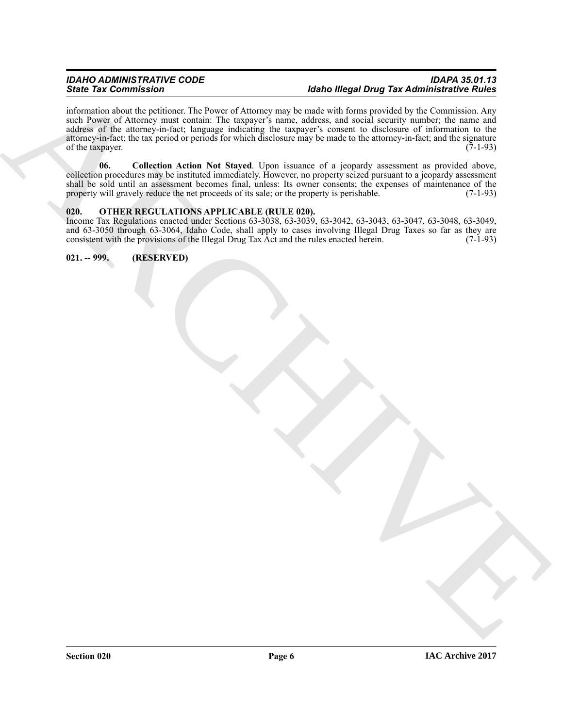#### *IDAHO ADMINISTRATIVE CODE IDAPA 35.01.13* **Idaho Illegal Drug Tax Administrative Rules**

Since The Commission and Control of the same of the same of the same of the same of the same of the same of the same of the same of the same of the same of the same of the same of the same of the same of the same of the s information about the petitioner. The Power of Attorney may be made with forms provided by the Commission. Any such Power of Attorney must contain: The taxpayer's name, address, and social security number; the name and address of the attorney-in-fact; language indicating the taxpayer's consent to disclosure of information to the attorney-in-fact; the tax period or periods for which disclosure may be made to the attorney-in-fact; and the signature of the taxpayer.  $(7-1-93)$ 

<span id="page-5-2"></span>**06. Collection Action Not Stayed**. Upon issuance of a jeopardy assessment as provided above, collection procedures may be instituted immediately. However, no property seized pursuant to a jeopardy assessment shall be sold until an assessment becomes final, unless: Its owner consents; the expenses of maintenance of the property will gravely reduce the net proceeds of its sale; or the property is perishable. (7-1-93)

#### <span id="page-5-3"></span><span id="page-5-0"></span>**020. OTHER REGULATIONS APPLICABLE (RULE 020).**

Income Tax Regulations enacted under Sections 63-3038, 63-3039, 63-3042, 63-3043, 63-3047, 63-3048, 63-3049, and 63-3050 through 63-3064, Idaho Code, shall apply to cases involving Illegal Drug Taxes so far as they are consistent with the provisions of the Illegal Drug Tax Act and the rules enacted herein. (7-1-93)

### <span id="page-5-1"></span>**021. -- 999. (RESERVED)**